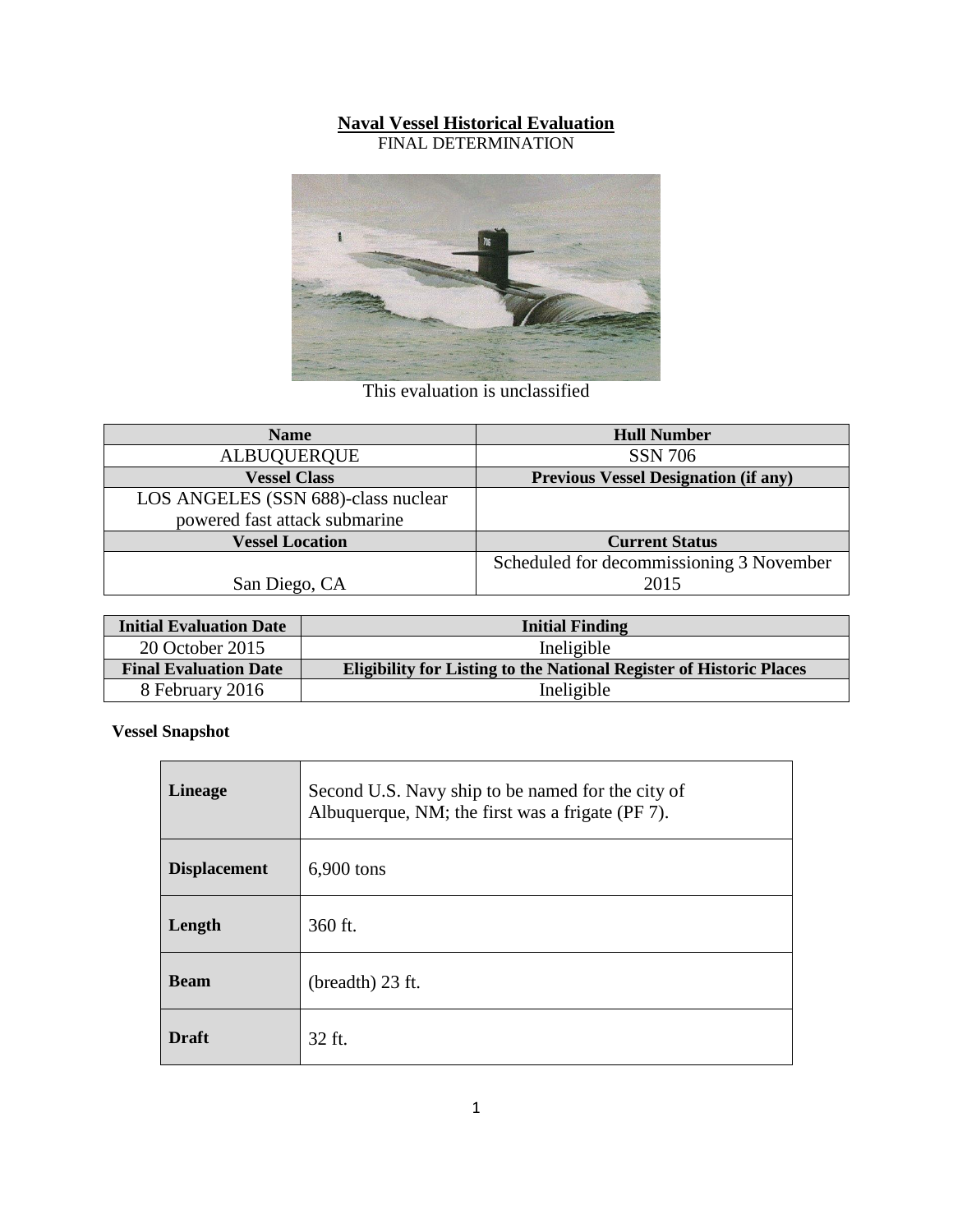## **Naval Vessel Historical Evaluation**

FINAL DETERMINATION



This evaluation is unclassified

| <b>Name</b>                         | <b>Hull Number</b>                          |
|-------------------------------------|---------------------------------------------|
| <b>ALBUQUERQUE</b>                  | <b>SSN 706</b>                              |
| <b>Vessel Class</b>                 | <b>Previous Vessel Designation (if any)</b> |
| LOS ANGELES (SSN 688)-class nuclear |                                             |
| powered fast attack submarine       |                                             |
| <b>Vessel Location</b>              | <b>Current Status</b>                       |
|                                     | Scheduled for decommissioning 3 November    |
| San Diego, CA                       | 2015                                        |

| <b>Initial Evaluation Date</b> | <b>Initial Finding</b>                                                     |
|--------------------------------|----------------------------------------------------------------------------|
| 20 October 2015                | Ineligible                                                                 |
| <b>Final Evaluation Date</b>   | <b>Eligibility for Listing to the National Register of Historic Places</b> |
| 8 February 2016                | Ineligible                                                                 |

**Vessel Snapshot**

| <b>Lineage</b>      | Second U.S. Navy ship to be named for the city of<br>Albuquerque, NM; the first was a frigate (PF 7). |
|---------------------|-------------------------------------------------------------------------------------------------------|
| <b>Displacement</b> | 6,900 tons                                                                                            |
| Length              | 360 ft.                                                                                               |
| <b>Beam</b>         | (breadth) 23 ft.                                                                                      |
| <b>Draft</b>        | 32 ft.                                                                                                |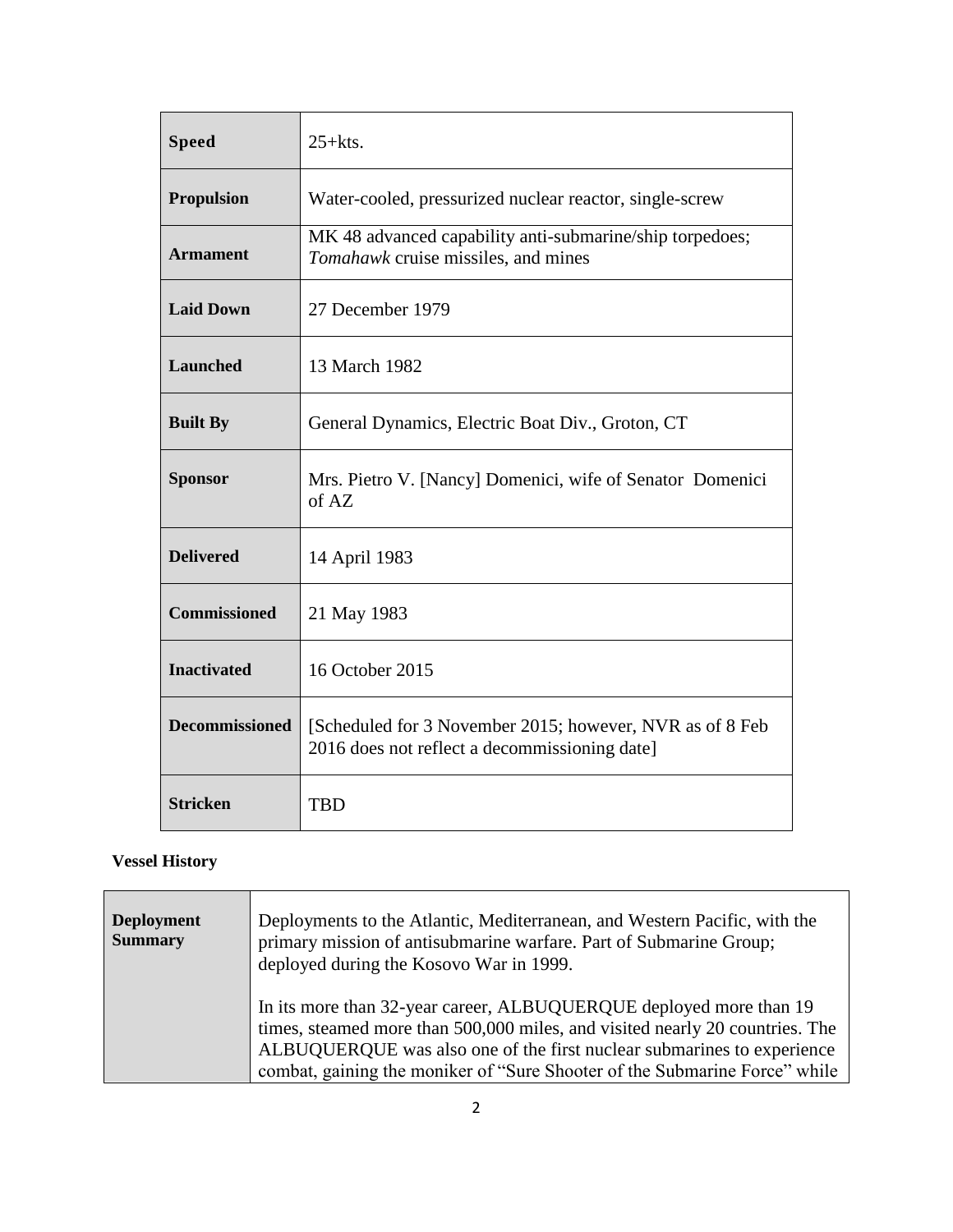| <b>Speed</b>          | $25+$ kts.                                                                                                |
|-----------------------|-----------------------------------------------------------------------------------------------------------|
| <b>Propulsion</b>     | Water-cooled, pressurized nuclear reactor, single-screw                                                   |
| <b>Armament</b>       | MK 48 advanced capability anti-submarine/ship torpedoes;<br>Tomahawk cruise missiles, and mines           |
| <b>Laid Down</b>      | 27 December 1979                                                                                          |
| <b>Launched</b>       | 13 March 1982                                                                                             |
| <b>Built By</b>       | General Dynamics, Electric Boat Div., Groton, CT                                                          |
| <b>Sponsor</b>        | Mrs. Pietro V. [Nancy] Domenici, wife of Senator Domenici<br>of AZ                                        |
| <b>Delivered</b>      | 14 April 1983                                                                                             |
| <b>Commissioned</b>   | 21 May 1983                                                                                               |
| <b>Inactivated</b>    | 16 October 2015                                                                                           |
| <b>Decommissioned</b> | [Scheduled for 3 November 2015; however, NVR as of 8 Feb<br>2016 does not reflect a decommissioning date] |
| <b>Stricken</b>       | <b>TBD</b>                                                                                                |

## **Vessel History**

| <b>Deployment</b><br><b>Summary</b> | Deployments to the Atlantic, Mediterranean, and Western Pacific, with the<br>primary mission of antisubmarine warfare. Part of Submarine Group;<br>deployed during the Kosovo War in 1999.                                                                                                                 |
|-------------------------------------|------------------------------------------------------------------------------------------------------------------------------------------------------------------------------------------------------------------------------------------------------------------------------------------------------------|
|                                     | In its more than 32-year career, ALBUQUERQUE deployed more than 19<br>times, steamed more than 500,000 miles, and visited nearly 20 countries. The<br>ALBUQUERQUE was also one of the first nuclear submarines to experience<br>combat, gaining the moniker of "Sure Shooter of the Submarine Force" while |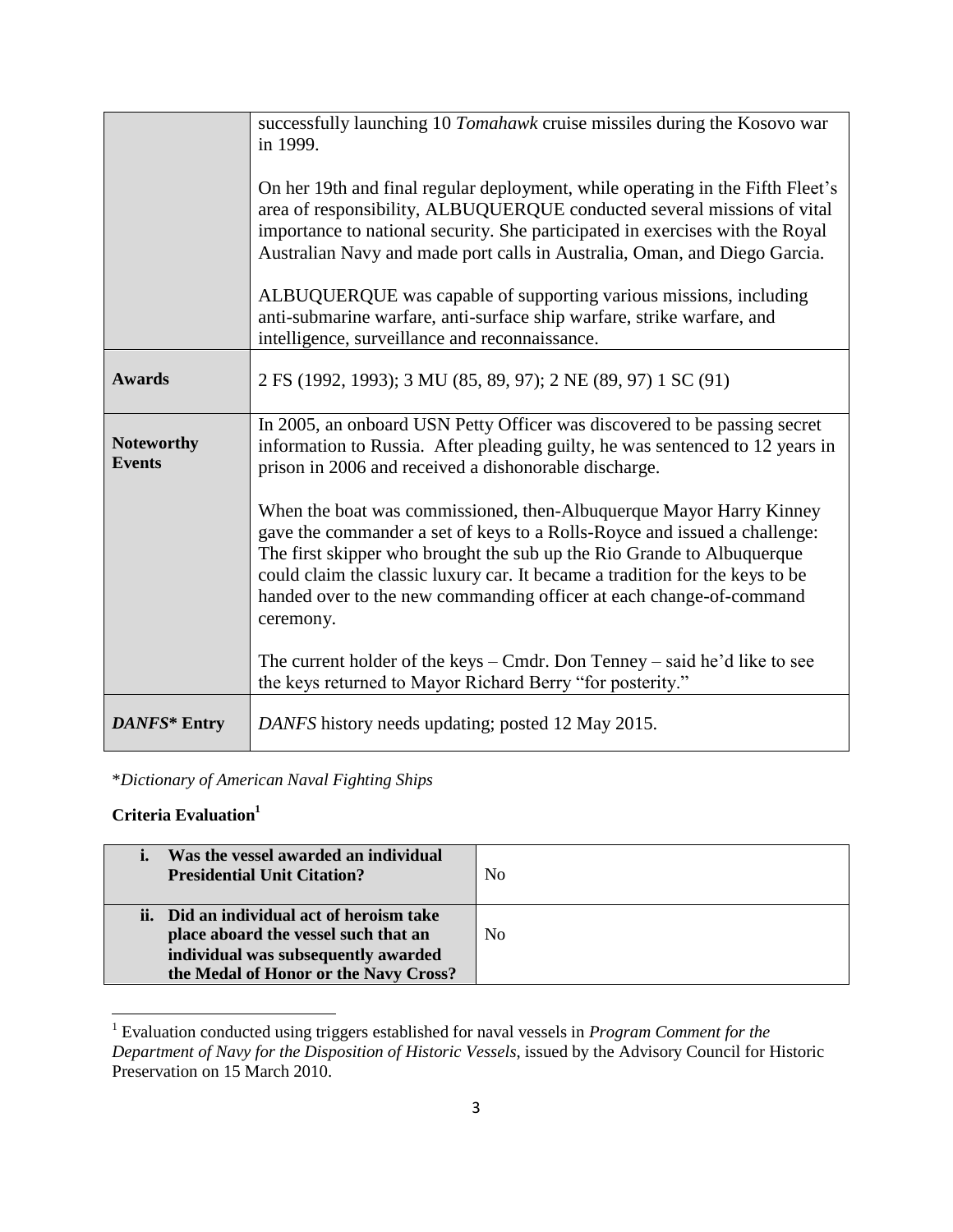|                                    | successfully launching 10 Tomahawk cruise missiles during the Kosovo war<br>in 1999.                                                                                                                                                                                                                                                                                                           |
|------------------------------------|------------------------------------------------------------------------------------------------------------------------------------------------------------------------------------------------------------------------------------------------------------------------------------------------------------------------------------------------------------------------------------------------|
|                                    | On her 19th and final regular deployment, while operating in the Fifth Fleet's<br>area of responsibility, ALBUQUERQUE conducted several missions of vital<br>importance to national security. She participated in exercises with the Royal<br>Australian Navy and made port calls in Australia, Oman, and Diego Garcia.                                                                        |
|                                    | ALBUQUERQUE was capable of supporting various missions, including<br>anti-submarine warfare, anti-surface ship warfare, strike warfare, and<br>intelligence, surveillance and reconnaissance.                                                                                                                                                                                                  |
| <b>Awards</b>                      | 2 FS (1992, 1993); 3 MU (85, 89, 97); 2 NE (89, 97) 1 SC (91)                                                                                                                                                                                                                                                                                                                                  |
| <b>Noteworthy</b><br><b>Events</b> | In 2005, an onboard USN Petty Officer was discovered to be passing secret<br>information to Russia. After pleading guilty, he was sentenced to 12 years in<br>prison in 2006 and received a dishonorable discharge.                                                                                                                                                                            |
|                                    | When the boat was commissioned, then-Albuquerque Mayor Harry Kinney<br>gave the commander a set of keys to a Rolls-Royce and issued a challenge:<br>The first skipper who brought the sub up the Rio Grande to Albuquerque<br>could claim the classic luxury car. It became a tradition for the keys to be<br>handed over to the new commanding officer at each change-of-command<br>ceremony. |
|                                    | The current holder of the keys $-$ Cmdr. Don Tenney $-$ said he'd like to see<br>the keys returned to Mayor Richard Berry "for posterity."                                                                                                                                                                                                                                                     |
| DANFS* Entry                       | DANFS history needs updating; posted 12 May 2015.                                                                                                                                                                                                                                                                                                                                              |

\**Dictionary of American Naval Fighting Ships*

## **Criteria Evaluation<sup>1</sup>**

 $\overline{a}$ 

| Was the vessel awarded an individual<br><b>Presidential Unit Citation?</b>                                                                                        | N <sub>0</sub> |
|-------------------------------------------------------------------------------------------------------------------------------------------------------------------|----------------|
| ii. Did an individual act of heroism take<br>place aboard the vessel such that an<br>individual was subsequently awarded<br>the Medal of Honor or the Navy Cross? | No             |

<sup>1</sup> Evaluation conducted using triggers established for naval vessels in *Program Comment for the Department of Navy for the Disposition of Historic Vessels*, issued by the Advisory Council for Historic Preservation on 15 March 2010.